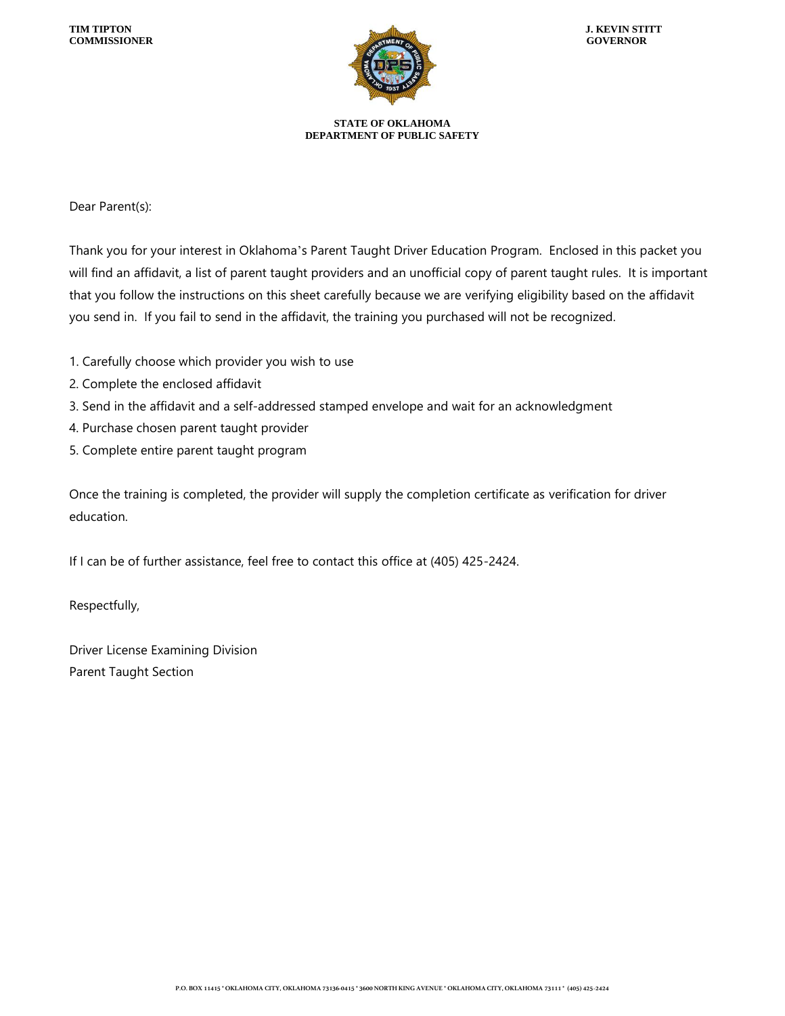

**STATE OF OKLAHOMA DEPARTMENT OF PUBLIC SAFETY**

Dear Parent(s):

Thank you for your interest in Oklahoma's Parent Taught Driver Education Program. Enclosed in this packet you will find an affidavit, a list of parent taught providers and an unofficial copy of parent taught rules. It is important that you follow the instructions on this sheet carefully because we are verifying eligibility based on the affidavit you send in. If you fail to send in the affidavit, the training you purchased will not be recognized.

- 1. Carefully choose which provider you wish to use
- 2. Complete the enclosed affidavit
- 3. Send in the affidavit and a self-addressed stamped envelope and wait for an acknowledgment
- 4. Purchase chosen parent taught provider
- 5. Complete entire parent taught program

Once the training is completed, the provider will supply the completion certificate as verification for driver education.

If I can be of further assistance, feel free to contact this office at (405) 425-2424.

Respectfully,

Driver License Examining Division Parent Taught Section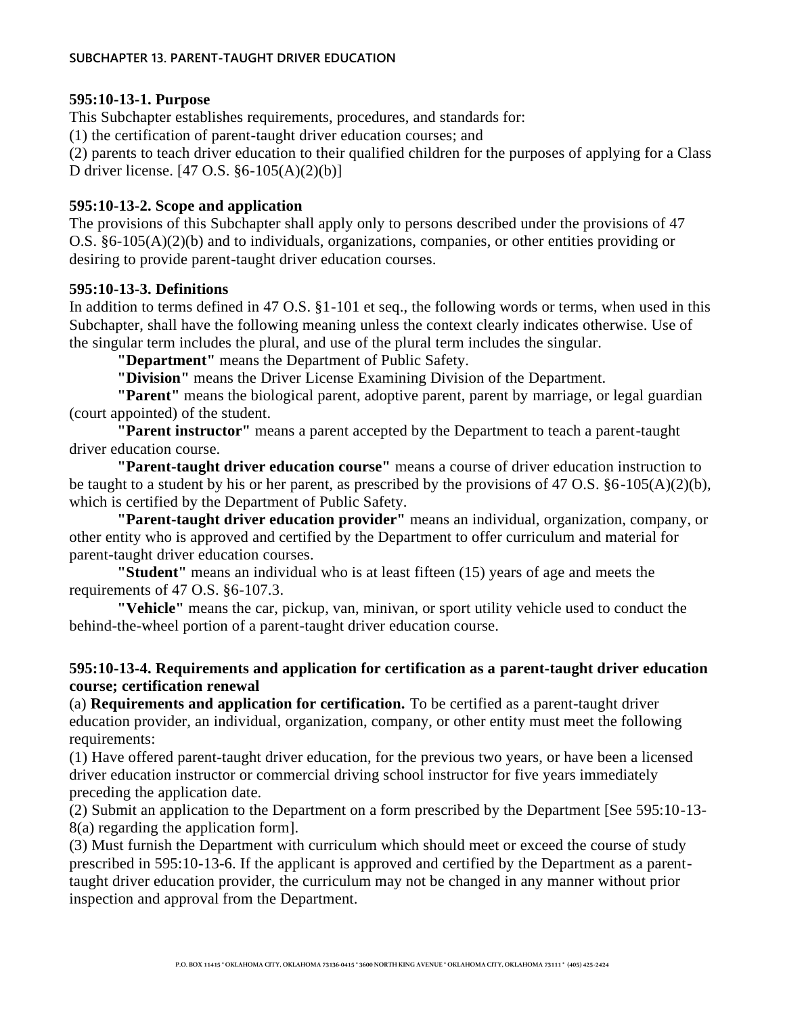#### **595:10-13-1. Purpose**

This Subchapter establishes requirements, procedures, and standards for:

(1) the certification of parent-taught driver education courses; and

(2) parents to teach driver education to their qualified children for the purposes of applying for a Class D driver license. [47 O.S. §6-105(A)(2)(b)]

## **595:10-13-2. Scope and application**

The provisions of this Subchapter shall apply only to persons described under the provisions of 47 O.S. §6-105(A)(2)(b) and to individuals, organizations, companies, or other entities providing or desiring to provide parent-taught driver education courses.

## **595:10-13-3. Definitions**

In addition to terms defined in 47 O.S. §1-101 et seq., the following words or terms, when used in this Subchapter, shall have the following meaning unless the context clearly indicates otherwise. Use of the singular term includes the plural, and use of the plural term includes the singular.

**"Department"** means the Department of Public Safety.

**"Division"** means the Driver License Examining Division of the Department.

**"Parent"** means the biological parent, adoptive parent, parent by marriage, or legal guardian (court appointed) of the student.

**"Parent instructor"** means a parent accepted by the Department to teach a parent-taught driver education course.

**"Parent-taught driver education course"** means a course of driver education instruction to be taught to a student by his or her parent, as prescribed by the provisions of 47 O.S. §6-105(A)(2)(b), which is certified by the Department of Public Safety.

**"Parent-taught driver education provider"** means an individual, organization, company, or other entity who is approved and certified by the Department to offer curriculum and material for parent-taught driver education courses.

**"Student"** means an individual who is at least fifteen (15) years of age and meets the requirements of 47 O.S. §6-107.3.

**"Vehicle"** means the car, pickup, van, minivan, or sport utility vehicle used to conduct the behind-the-wheel portion of a parent-taught driver education course.

## **595:10-13-4. Requirements and application for certification as a parent-taught driver education course; certification renewal**

(a) **Requirements and application for certification.** To be certified as a parent-taught driver education provider, an individual, organization, company, or other entity must meet the following requirements:

(1) Have offered parent-taught driver education, for the previous two years, or have been a licensed driver education instructor or commercial driving school instructor for five years immediately preceding the application date.

(2) Submit an application to the Department on a form prescribed by the Department [See 595:10-13- 8(a) regarding the application form].

(3) Must furnish the Department with curriculum which should meet or exceed the course of study prescribed in 595:10-13-6. If the applicant is approved and certified by the Department as a parenttaught driver education provider, the curriculum may not be changed in any manner without prior inspection and approval from the Department.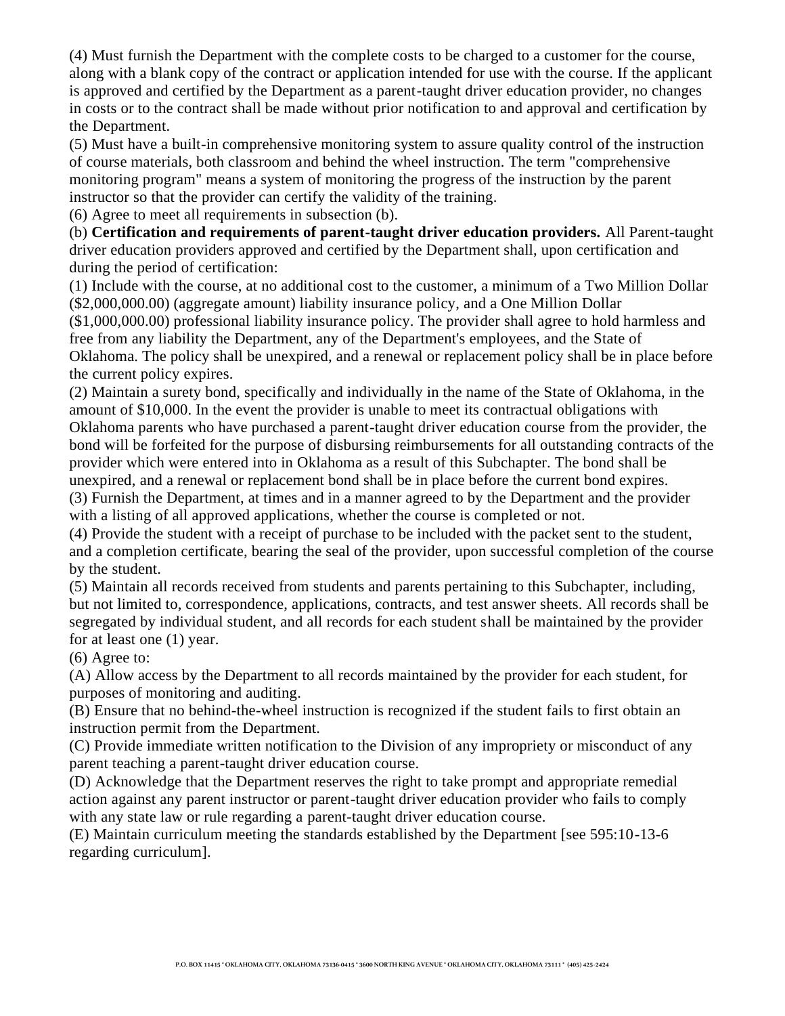(4) Must furnish the Department with the complete costs to be charged to a customer for the course, along with a blank copy of the contract or application intended for use with the course. If the applicant is approved and certified by the Department as a parent-taught driver education provider, no changes in costs or to the contract shall be made without prior notification to and approval and certification by the Department.

(5) Must have a built-in comprehensive monitoring system to assure quality control of the instruction of course materials, both classroom and behind the wheel instruction. The term "comprehensive monitoring program" means a system of monitoring the progress of the instruction by the parent instructor so that the provider can certify the validity of the training.

(6) Agree to meet all requirements in subsection (b).

(b) **Certification and requirements of parent-taught driver education providers.** All Parent-taught driver education providers approved and certified by the Department shall, upon certification and during the period of certification:

(1) Include with the course, at no additional cost to the customer, a minimum of a Two Million Dollar (\$2,000,000.00) (aggregate amount) liability insurance policy, and a One Million Dollar

(\$1,000,000.00) professional liability insurance policy. The provider shall agree to hold harmless and free from any liability the Department, any of the Department's employees, and the State of Oklahoma. The policy shall be unexpired, and a renewal or replacement policy shall be in place before the current policy expires.

(2) Maintain a surety bond, specifically and individually in the name of the State of Oklahoma, in the amount of \$10,000. In the event the provider is unable to meet its contractual obligations with Oklahoma parents who have purchased a parent-taught driver education course from the provider, the bond will be forfeited for the purpose of disbursing reimbursements for all outstanding contracts of the

provider which were entered into in Oklahoma as a result of this Subchapter. The bond shall be unexpired, and a renewal or replacement bond shall be in place before the current bond expires.

(3) Furnish the Department, at times and in a manner agreed to by the Department and the provider with a listing of all approved applications, whether the course is completed or not.

(4) Provide the student with a receipt of purchase to be included with the packet sent to the student, and a completion certificate, bearing the seal of the provider, upon successful completion of the course by the student.

(5) Maintain all records received from students and parents pertaining to this Subchapter, including, but not limited to, correspondence, applications, contracts, and test answer sheets. All records shall be segregated by individual student, and all records for each student shall be maintained by the provider for at least one (1) year.

(6) Agree to:

(A) Allow access by the Department to all records maintained by the provider for each student, for purposes of monitoring and auditing.

(B) Ensure that no behind-the-wheel instruction is recognized if the student fails to first obtain an instruction permit from the Department.

(C) Provide immediate written notification to the Division of any impropriety or misconduct of any parent teaching a parent-taught driver education course.

(D) Acknowledge that the Department reserves the right to take prompt and appropriate remedial action against any parent instructor or parent-taught driver education provider who fails to comply with any state law or rule regarding a parent-taught driver education course.

(E) Maintain curriculum meeting the standards established by the Department [see 595:10-13-6 regarding curriculum].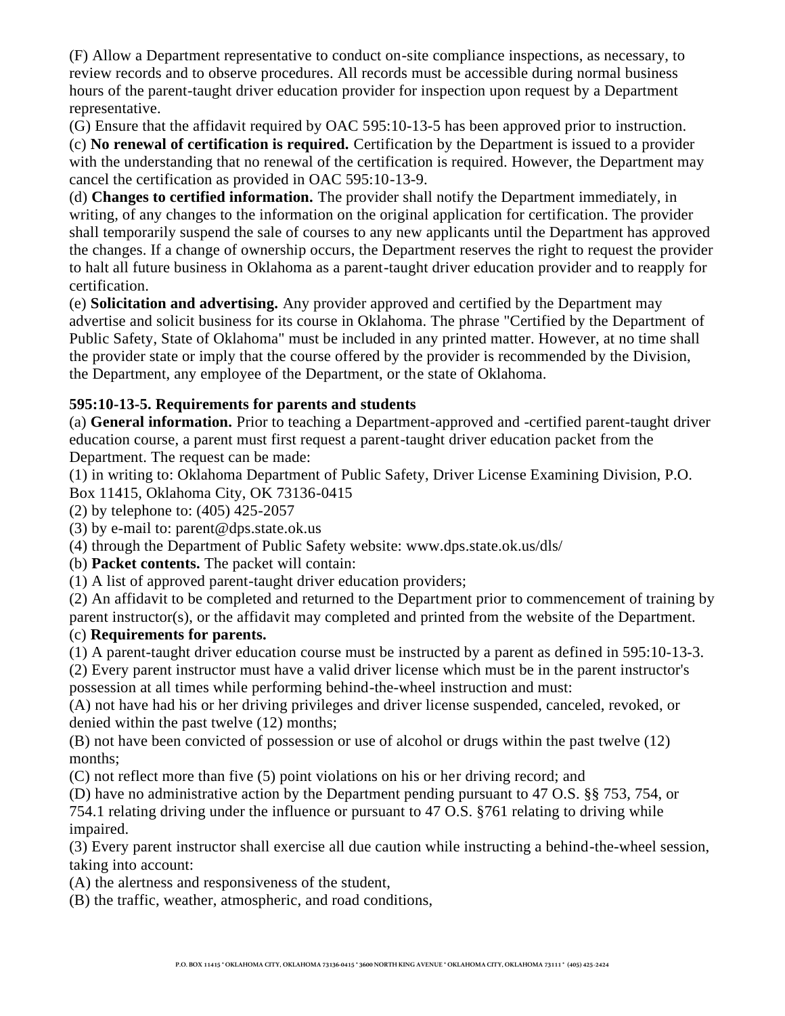(F) Allow a Department representative to conduct on-site compliance inspections, as necessary, to review records and to observe procedures. All records must be accessible during normal business hours of the parent-taught driver education provider for inspection upon request by a Department representative.

(G) Ensure that the affidavit required by OAC 595:10-13-5 has been approved prior to instruction. (c) **No renewal of certification is required.** Certification by the Department is issued to a provider with the understanding that no renewal of the certification is required. However, the Department may cancel the certification as provided in OAC 595:10-13-9.

(d) **Changes to certified information.** The provider shall notify the Department immediately, in writing, of any changes to the information on the original application for certification. The provider shall temporarily suspend the sale of courses to any new applicants until the Department has approved the changes. If a change of ownership occurs, the Department reserves the right to request the provider to halt all future business in Oklahoma as a parent-taught driver education provider and to reapply for certification.

(e) **Solicitation and advertising.** Any provider approved and certified by the Department may advertise and solicit business for its course in Oklahoma. The phrase "Certified by the Department of Public Safety, State of Oklahoma" must be included in any printed matter. However, at no time shall the provider state or imply that the course offered by the provider is recommended by the Division, the Department, any employee of the Department, or the state of Oklahoma.

# **595:10-13-5. Requirements for parents and students**

(a) **General information.** Prior to teaching a Department-approved and -certified parent-taught driver education course, a parent must first request a parent-taught driver education packet from the Department. The request can be made:

(1) in writing to: Oklahoma Department of Public Safety, Driver License Examining Division, P.O.

Box 11415, Oklahoma City, OK 73136-0415

(2) by telephone to: (405) 425-2057

(3) by e-mail to: parent@dps.state.ok.us

(4) through the Department of Public Safety website: www.dps.state.ok.us/dls/

(b) **Packet contents.** The packet will contain:

(1) A list of approved parent-taught driver education providers;

(2) An affidavit to be completed and returned to the Department prior to commencement of training by parent instructor(s), or the affidavit may completed and printed from the website of the Department.

# (c) **Requirements for parents.**

(1) A parent-taught driver education course must be instructed by a parent as defined in 595:10-13-3.

(2) Every parent instructor must have a valid driver license which must be in the parent instructor's possession at all times while performing behind-the-wheel instruction and must:

(A) not have had his or her driving privileges and driver license suspended, canceled, revoked, or denied within the past twelve (12) months;

(B) not have been convicted of possession or use of alcohol or drugs within the past twelve (12) months;

(C) not reflect more than five (5) point violations on his or her driving record; and

(D) have no administrative action by the Department pending pursuant to 47 O.S. §§ 753, 754, or

754.1 relating driving under the influence or pursuant to 47 O.S. §761 relating to driving while impaired.

(3) Every parent instructor shall exercise all due caution while instructing a behind-the-wheel session, taking into account:

(A) the alertness and responsiveness of the student,

(B) the traffic, weather, atmospheric, and road conditions,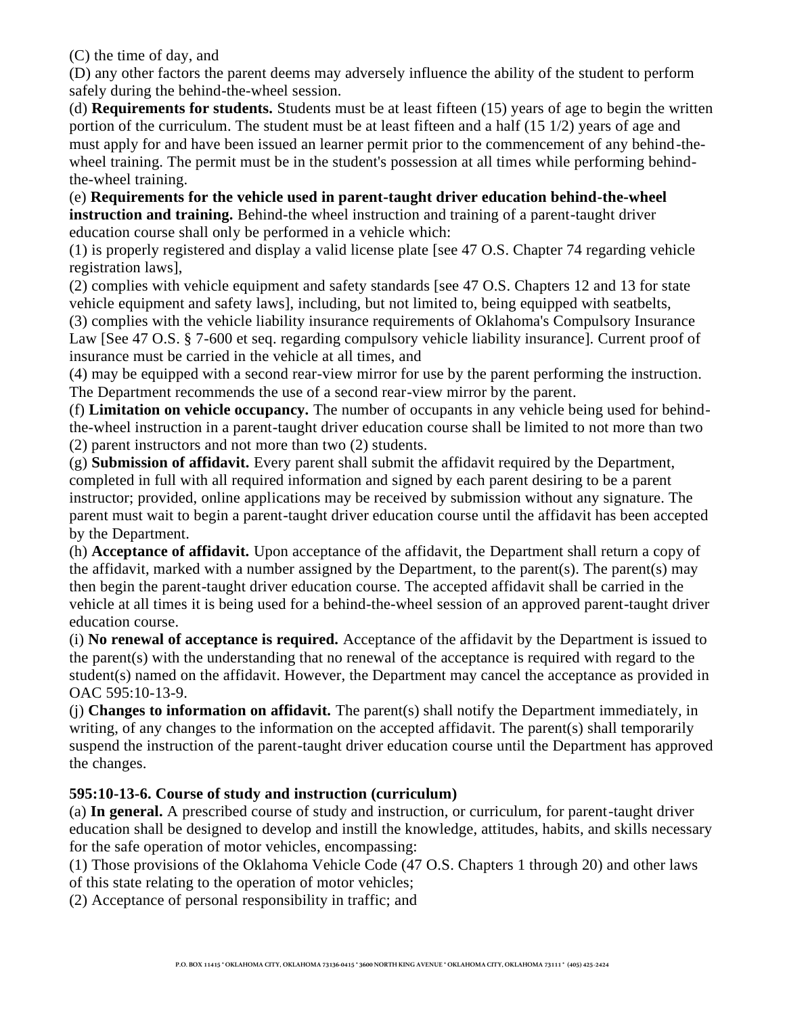(C) the time of day, and

(D) any other factors the parent deems may adversely influence the ability of the student to perform safely during the behind-the-wheel session.

(d) **Requirements for students.** Students must be at least fifteen (15) years of age to begin the written portion of the curriculum. The student must be at least fifteen and a half (15 1/2) years of age and must apply for and have been issued an learner permit prior to the commencement of any behind-thewheel training. The permit must be in the student's possession at all times while performing behindthe-wheel training.

(e) **Requirements for the vehicle used in parent-taught driver education behind-the-wheel instruction and training.** Behind-the wheel instruction and training of a parent-taught driver education course shall only be performed in a vehicle which:

(1) is properly registered and display a valid license plate [see 47 O.S. Chapter 74 regarding vehicle registration laws],

(2) complies with vehicle equipment and safety standards [see 47 O.S. Chapters 12 and 13 for state vehicle equipment and safety laws], including, but not limited to, being equipped with seatbelts, (3) complies with the vehicle liability insurance requirements of Oklahoma's Compulsory Insurance

Law [See 47 O.S. § 7-600 et seq. regarding compulsory vehicle liability insurance]. Current proof of insurance must be carried in the vehicle at all times, and

(4) may be equipped with a second rear-view mirror for use by the parent performing the instruction. The Department recommends the use of a second rear-view mirror by the parent.

(f) **Limitation on vehicle occupancy.** The number of occupants in any vehicle being used for behindthe-wheel instruction in a parent-taught driver education course shall be limited to not more than two (2) parent instructors and not more than two (2) students.

(g) **Submission of affidavit.** Every parent shall submit the affidavit required by the Department, completed in full with all required information and signed by each parent desiring to be a parent instructor; provided, online applications may be received by submission without any signature. The parent must wait to begin a parent-taught driver education course until the affidavit has been accepted by the Department.

(h) **Acceptance of affidavit.** Upon acceptance of the affidavit, the Department shall return a copy of the affidavit, marked with a number assigned by the Department, to the parent(s). The parent(s) may then begin the parent-taught driver education course. The accepted affidavit shall be carried in the vehicle at all times it is being used for a behind-the-wheel session of an approved parent-taught driver education course.

(i) **No renewal of acceptance is required.** Acceptance of the affidavit by the Department is issued to the parent(s) with the understanding that no renewal of the acceptance is required with regard to the student(s) named on the affidavit. However, the Department may cancel the acceptance as provided in OAC 595:10-13-9.

(j) **Changes to information on affidavit.** The parent(s) shall notify the Department immediately, in writing, of any changes to the information on the accepted affidavit. The parent(s) shall temporarily suspend the instruction of the parent-taught driver education course until the Department has approved the changes.

# **595:10-13-6. Course of study and instruction (curriculum)**

(a) **In general.** A prescribed course of study and instruction, or curriculum, for parent-taught driver education shall be designed to develop and instill the knowledge, attitudes, habits, and skills necessary for the safe operation of motor vehicles, encompassing:

(1) Those provisions of the Oklahoma Vehicle Code (47 O.S. Chapters 1 through 20) and other laws of this state relating to the operation of motor vehicles;

(2) Acceptance of personal responsibility in traffic; and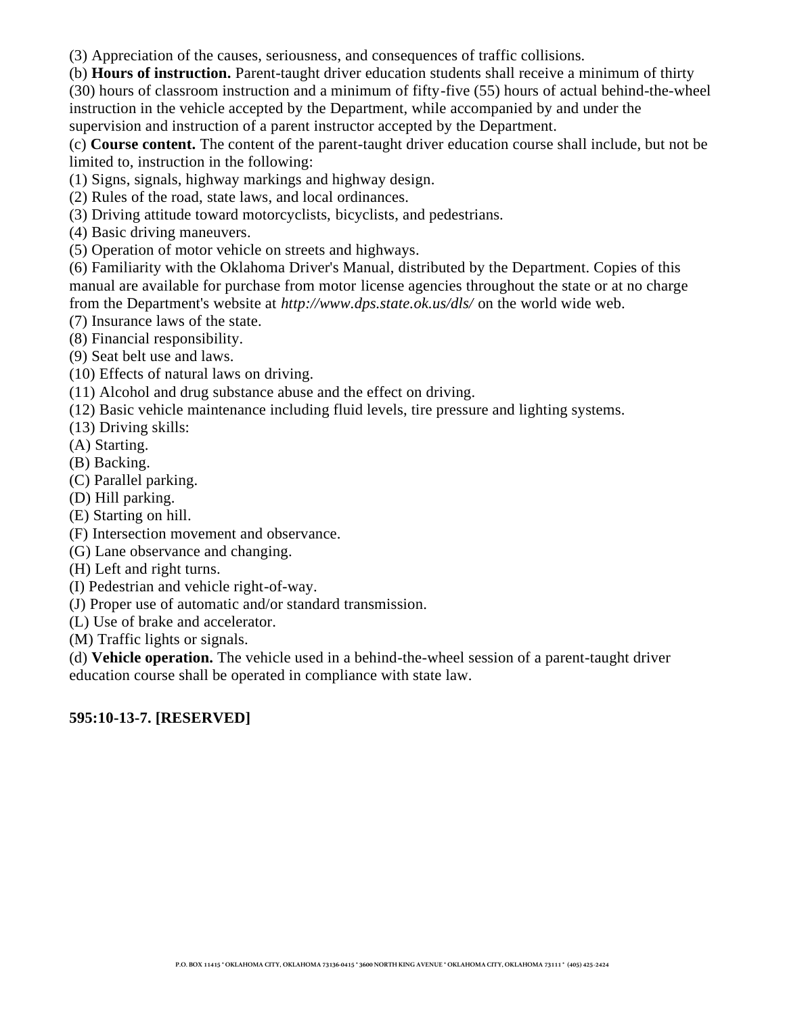(3) Appreciation of the causes, seriousness, and consequences of traffic collisions.

(b) **Hours of instruction.** Parent-taught driver education students shall receive a minimum of thirty (30) hours of classroom instruction and a minimum of fifty-five (55) hours of actual behind-the-wheel instruction in the vehicle accepted by the Department, while accompanied by and under the supervision and instruction of a parent instructor accepted by the Department.

(c) **Course content.** The content of the parent-taught driver education course shall include, but not be limited to, instruction in the following:

(1) Signs, signals, highway markings and highway design.

(2) Rules of the road, state laws, and local ordinances.

(3) Driving attitude toward motorcyclists, bicyclists, and pedestrians.

(4) Basic driving maneuvers.

(5) Operation of motor vehicle on streets and highways.

(6) Familiarity with the Oklahoma Driver's Manual, distributed by the Department. Copies of this manual are available for purchase from motor license agencies throughout the state or at no charge from the Department's website at *http://www.dps.state.ok.us/dls/* on the world wide web.

(7) Insurance laws of the state.

(8) Financial responsibility.

(9) Seat belt use and laws.

(10) Effects of natural laws on driving.

(11) Alcohol and drug substance abuse and the effect on driving.

(12) Basic vehicle maintenance including fluid levels, tire pressure and lighting systems.

(13) Driving skills:

(A) Starting.

(B) Backing.

(C) Parallel parking.

(D) Hill parking.

(E) Starting on hill.

(F) Intersection movement and observance.

(G) Lane observance and changing.

(H) Left and right turns.

(I) Pedestrian and vehicle right-of-way.

(J) Proper use of automatic and/or standard transmission.

(L) Use of brake and accelerator.

(M) Traffic lights or signals.

(d) **Vehicle operation.** The vehicle used in a behind-the-wheel session of a parent-taught driver education course shall be operated in compliance with state law.

# **595:10-13-7. [RESERVED]**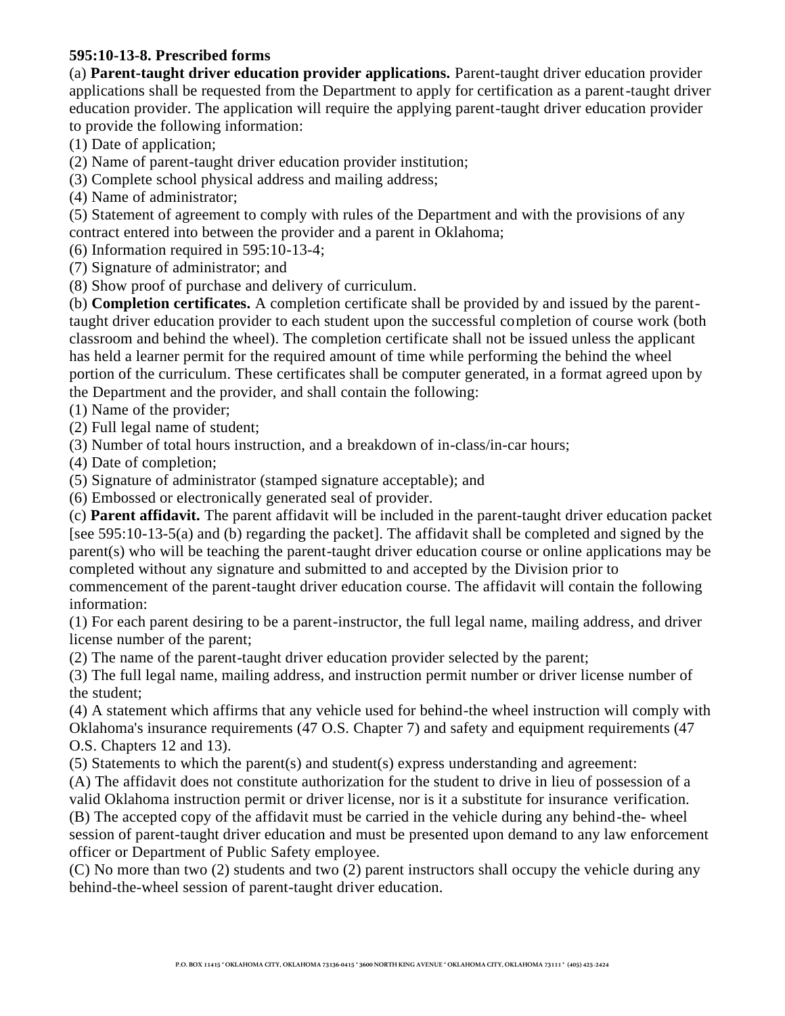## **595:10-13-8. Prescribed forms**

(a) **Parent-taught driver education provider applications.** Parent-taught driver education provider applications shall be requested from the Department to apply for certification as a parent-taught driver education provider. The application will require the applying parent-taught driver education provider to provide the following information:

(1) Date of application;

(2) Name of parent-taught driver education provider institution;

(3) Complete school physical address and mailing address;

(4) Name of administrator;

(5) Statement of agreement to comply with rules of the Department and with the provisions of any contract entered into between the provider and a parent in Oklahoma;

(6) Information required in 595:10-13-4;

(7) Signature of administrator; and

(8) Show proof of purchase and delivery of curriculum.

(b) **Completion certificates.** A completion certificate shall be provided by and issued by the parenttaught driver education provider to each student upon the successful completion of course work (both classroom and behind the wheel). The completion certificate shall not be issued unless the applicant has held a learner permit for the required amount of time while performing the behind the wheel portion of the curriculum. These certificates shall be computer generated, in a format agreed upon by the Department and the provider, and shall contain the following:

(1) Name of the provider;

(2) Full legal name of student;

(3) Number of total hours instruction, and a breakdown of in-class/in-car hours;

(4) Date of completion;

(5) Signature of administrator (stamped signature acceptable); and

(6) Embossed or electronically generated seal of provider.

(c) **Parent affidavit.** The parent affidavit will be included in the parent-taught driver education packet [see 595:10-13-5(a) and (b) regarding the packet]. The affidavit shall be completed and signed by the parent(s) who will be teaching the parent-taught driver education course or online applications may be completed without any signature and submitted to and accepted by the Division prior to commencement of the parent-taught driver education course. The affidavit will contain the following information:

(1) For each parent desiring to be a parent-instructor, the full legal name, mailing address, and driver license number of the parent;

(2) The name of the parent-taught driver education provider selected by the parent;

(3) The full legal name, mailing address, and instruction permit number or driver license number of the student;

(4) A statement which affirms that any vehicle used for behind-the wheel instruction will comply with Oklahoma's insurance requirements (47 O.S. Chapter 7) and safety and equipment requirements (47 O.S. Chapters 12 and 13).

(5) Statements to which the parent(s) and student(s) express understanding and agreement:

(A) The affidavit does not constitute authorization for the student to drive in lieu of possession of a valid Oklahoma instruction permit or driver license, nor is it a substitute for insurance verification.

(B) The accepted copy of the affidavit must be carried in the vehicle during any behind-the- wheel session of parent-taught driver education and must be presented upon demand to any law enforcement officer or Department of Public Safety employee.

(C) No more than two (2) students and two (2) parent instructors shall occupy the vehicle during any behind-the-wheel session of parent-taught driver education.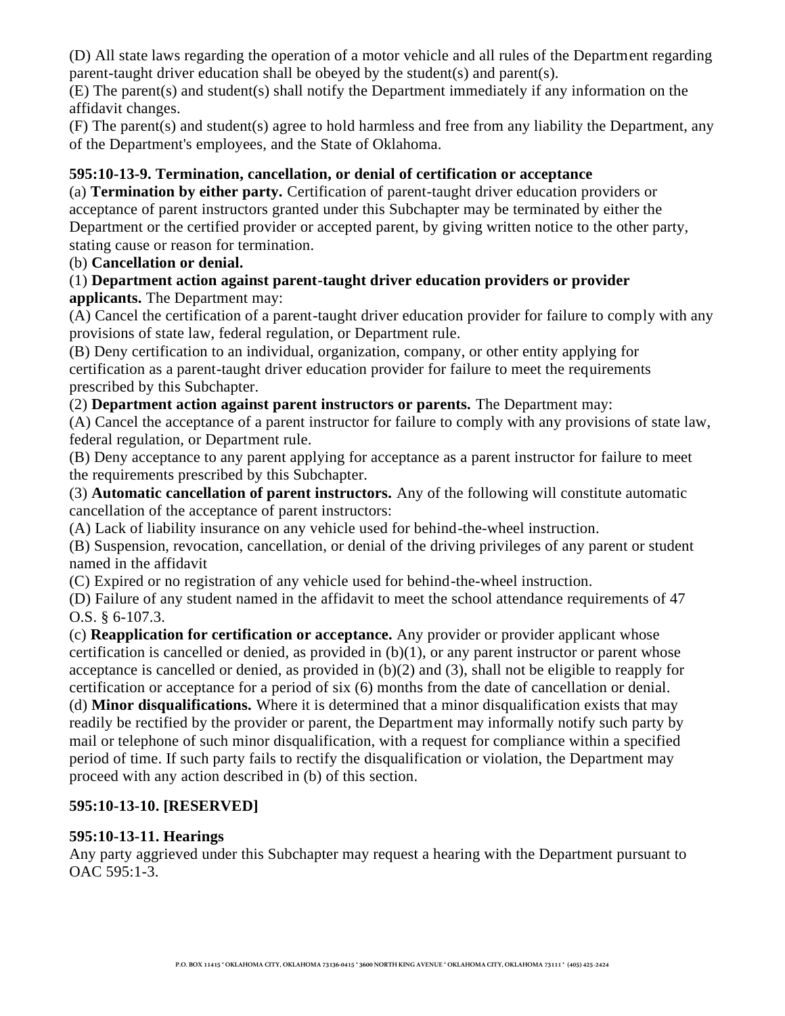(D) All state laws regarding the operation of a motor vehicle and all rules of the Department regarding parent-taught driver education shall be obeyed by the student(s) and parent(s).

(E) The parent(s) and student(s) shall notify the Department immediately if any information on the affidavit changes.

(F) The parent(s) and student(s) agree to hold harmless and free from any liability the Department, any of the Department's employees, and the State of Oklahoma.

## **595:10-13-9. Termination, cancellation, or denial of certification or acceptance**

(a) **Termination by either party.** Certification of parent-taught driver education providers or acceptance of parent instructors granted under this Subchapter may be terminated by either the Department or the certified provider or accepted parent, by giving written notice to the other party, stating cause or reason for termination.

## (b) **Cancellation or denial.**

## (1) **Department action against parent-taught driver education providers or provider applicants.** The Department may:

(A) Cancel the certification of a parent-taught driver education provider for failure to comply with any provisions of state law, federal regulation, or Department rule.

(B) Deny certification to an individual, organization, company, or other entity applying for certification as a parent-taught driver education provider for failure to meet the requirements prescribed by this Subchapter.

(2) **Department action against parent instructors or parents.** The Department may:

(A) Cancel the acceptance of a parent instructor for failure to comply with any provisions of state law, federal regulation, or Department rule.

(B) Deny acceptance to any parent applying for acceptance as a parent instructor for failure to meet the requirements prescribed by this Subchapter.

(3) **Automatic cancellation of parent instructors.** Any of the following will constitute automatic cancellation of the acceptance of parent instructors:

(A) Lack of liability insurance on any vehicle used for behind-the-wheel instruction.

(B) Suspension, revocation, cancellation, or denial of the driving privileges of any parent or student named in the affidavit

(C) Expired or no registration of any vehicle used for behind-the-wheel instruction.

(D) Failure of any student named in the affidavit to meet the school attendance requirements of 47 O.S. § 6-107.3.

(c) **Reapplication for certification or acceptance.** Any provider or provider applicant whose certification is cancelled or denied, as provided in  $(b)(1)$ , or any parent instructor or parent whose acceptance is cancelled or denied, as provided in (b)(2) and (3), shall not be eligible to reapply for certification or acceptance for a period of six (6) months from the date of cancellation or denial.

(d) **Minor disqualifications.** Where it is determined that a minor disqualification exists that may readily be rectified by the provider or parent, the Department may informally notify such party by mail or telephone of such minor disqualification, with a request for compliance within a specified period of time. If such party fails to rectify the disqualification or violation, the Department may proceed with any action described in (b) of this section.

# **595:10-13-10. [RESERVED]**

## **595:10-13-11. Hearings**

Any party aggrieved under this Subchapter may request a hearing with the Department pursuant to OAC 595:1-3.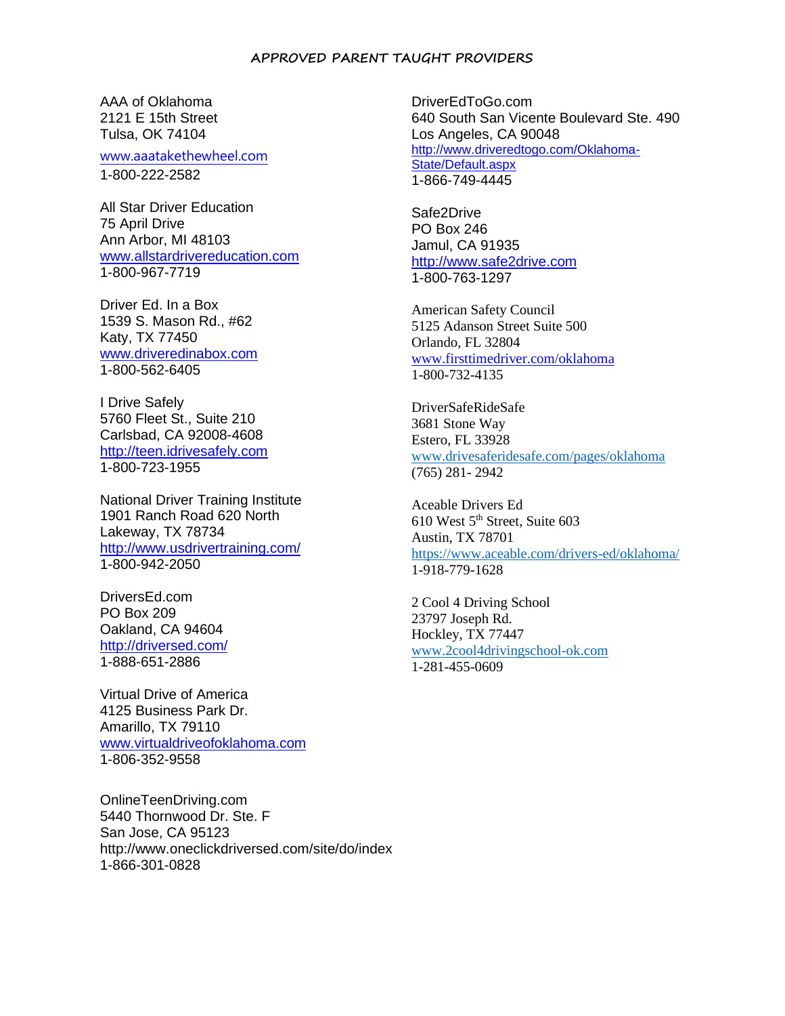#### **APPROVED PARENT TAUGHT PROVIDERS**

AAA of Oklahoma 2121 E 15th Street Tulsa, OK 74104

www.aaatakethewheel.com 1-800-222-2582

All Star Driver Education 75 April Drive Ann Arbor, MI 48103 www.allstardrivereducation.com 1-800-967-7719

Driver Ed. In a Box 1539 S. Mason Rd., #62 Katy, TX 77450 www.driveredinabox.com 1-800-562-6405

I Drive Safely 5760 Fleet St., Suite 210 Carlsbad, CA 92008-4608 http://teen.idrivesafely.com 1-800-723-1955

National Driver Training Institute 1901 Ranch Road 620 North Lakeway, TX 78734 http://www.usdrivertraining.com/ 1-800-942-2050

DriversEd.com PO Box 209 Oakland, CA 94604 http://driversed.com/ 1-888-651-2886

Virtual Drive of America 4125 Business Park Dr. Amarillo, TX 79110 www.virtualdriveofoklahoma.com 1-806-352-9558

OnlineTeenDriving.com 5440 Thornwood Dr. Ste. F San Jose, CA 95123 http://www.oneclickdriversed.com/site/do/index 1-866-301-0828

DriverEdToGo.com 640 South San Vicente Boulevard Ste. 490 Los Angeles, CA 90048 http://www.driveredtogo.com/Oklahoma-State/Default.aspx 1-866-749-4445

Safe2Drive PO Box 246 Jamul, CA 91935 http://www.safe2drive.com 1-800-763-1297

American Safety Council 5125 Adanson Street Suite 500 Orlando, FL 32804 www.firsttimedriver.com/oklahoma 1-800-732-4135

DriverSafeRideSafe 3681 Stone Way Estero, FL 33928 [www.drivesaferidesafe.com/pages/oklahoma](http://www.drivesaferidesafe.com/pages/oklahoma) (765) 281- 2942

Aceable Drivers Ed 610 West 5<sup>th</sup> Street, Suite 603 Austin, TX 78701 <https://www.aceable.com/drivers-ed/oklahoma/> 1-918-779-1628

2 Cool 4 Driving School 23797 Joseph Rd. Hockley, TX 77447 [www.2cool4drivingschool-ok.com](http://www.2cool4drivingschool-ok.com/) 1-281-455-0609